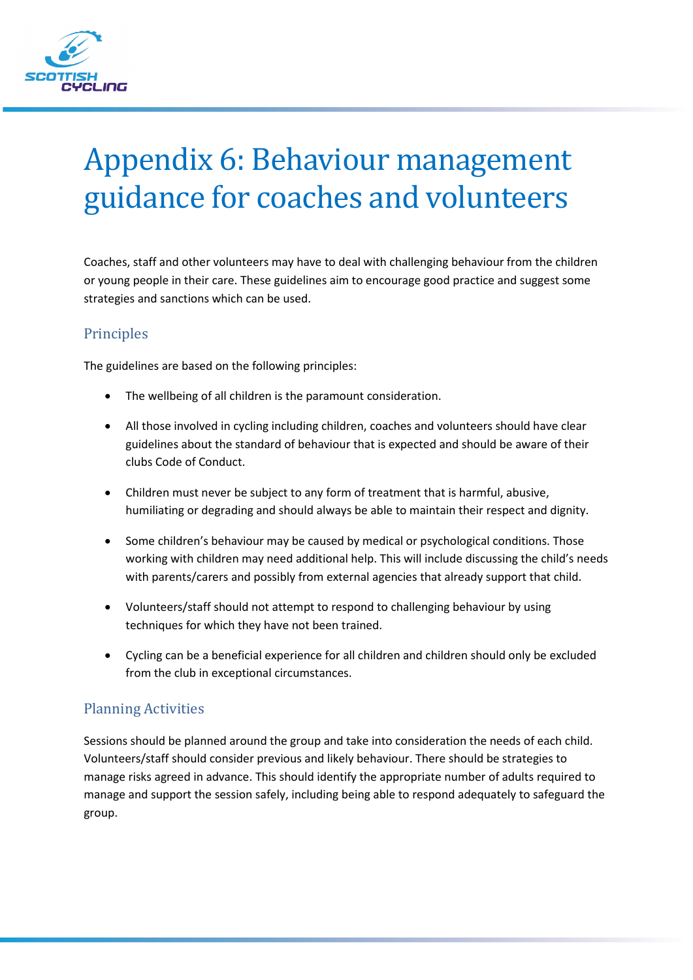

# Appendix 6: Behaviour management guidance for coaches and volunteers

Coaches, staff and other volunteers may have to deal with challenging behaviour from the children or young people in their care. These guidelines aim to encourage good practice and suggest some strategies and sanctions which can be used.

#### Principles

The guidelines are based on the following principles:

- The wellbeing of all children is the paramount consideration.
- All those involved in cycling including children, coaches and volunteers should have clear guidelines about the standard of behaviour that is expected and should be aware of their clubs Code of Conduct.
- Children must never be subject to any form of treatment that is harmful, abusive, humiliating or degrading and should always be able to maintain their respect and dignity.
- Some children's behaviour may be caused by medical or psychological conditions. Those working with children may need additional help. This will include discussing the child's needs with parents/carers and possibly from external agencies that already support that child.
- Volunteers/staff should not attempt to respond to challenging behaviour by using techniques for which they have not been trained.
- Cycling can be a beneficial experience for all children and children should only be excluded from the club in exceptional circumstances.

## Planning Activities

Sessions should be planned around the group and take into consideration the needs of each child. Volunteers/staff should consider previous and likely behaviour. There should be strategies to manage risks agreed in advance. This should identify the appropriate number of adults required to manage and support the session safely, including being able to respond adequately to safeguard the group.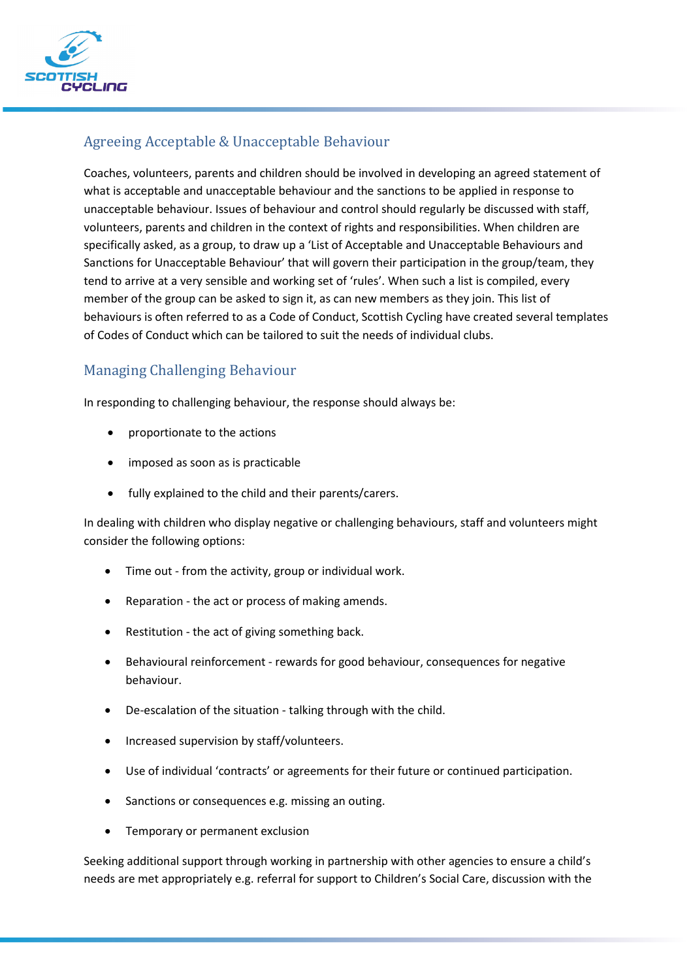

## Agreeing Acceptable & Unacceptable Behaviour

Coaches, volunteers, parents and children should be involved in developing an agreed statement of what is acceptable and unacceptable behaviour and the sanctions to be applied in response to unacceptable behaviour. Issues of behaviour and control should regularly be discussed with staff, volunteers, parents and children in the context of rights and responsibilities. When children are specifically asked, as a group, to draw up a 'List of Acceptable and Unacceptable Behaviours and Sanctions for Unacceptable Behaviour' that will govern their participation in the group/team, they tend to arrive at a very sensible and working set of 'rules'. When such a list is compiled, every member of the group can be asked to sign it, as can new members as they join. This list of behaviours is often referred to as a Code of Conduct, Scottish Cycling have created several templates of Codes of Conduct which can be tailored to suit the needs of individual clubs.

## Managing Challenging Behaviour

In responding to challenging behaviour, the response should always be:

- proportionate to the actions
- imposed as soon as is practicable
- fully explained to the child and their parents/carers.

In dealing with children who display negative or challenging behaviours, staff and volunteers might consider the following options:

- Time out from the activity, group or individual work.
- Reparation the act or process of making amends.
- Restitution the act of giving something back.
- Behavioural reinforcement rewards for good behaviour, consequences for negative behaviour.
- De-escalation of the situation talking through with the child.
- Increased supervision by staff/volunteers.
- Use of individual 'contracts' or agreements for their future or continued participation.
- Sanctions or consequences e.g. missing an outing.
- Temporary or permanent exclusion

Seeking additional support through working in partnership with other agencies to ensure a child's needs are met appropriately e.g. referral for support to Children's Social Care, discussion with the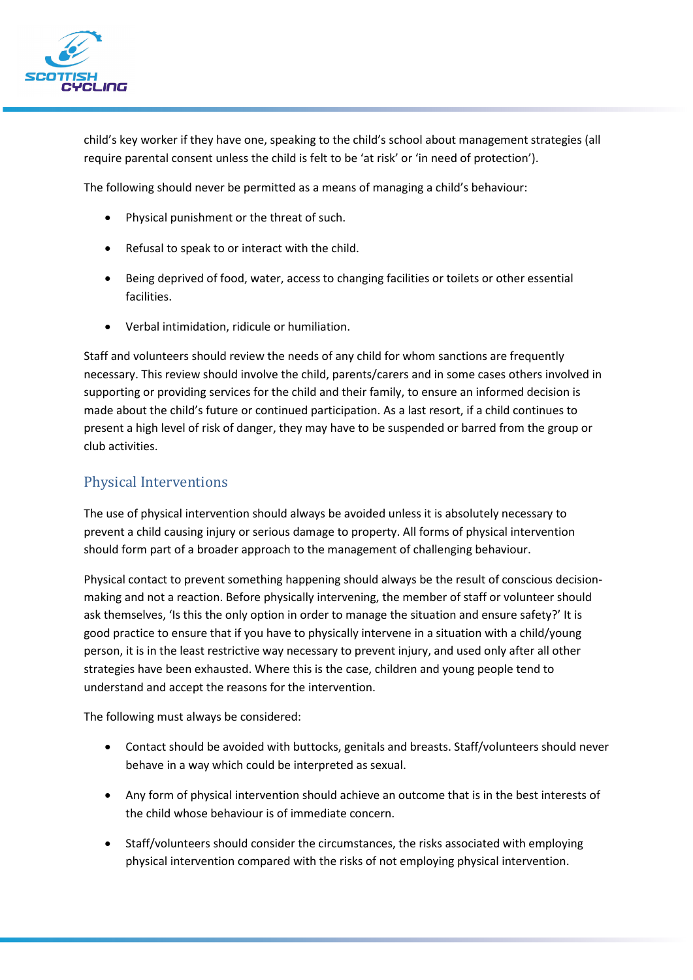

child's key worker if they have one, speaking to the child's school about management strategies (all require parental consent unless the child is felt to be 'at risk' or 'in need of protection').

The following should never be permitted as a means of managing a child's behaviour:

- Physical punishment or the threat of such.
- Refusal to speak to or interact with the child.
- Being deprived of food, water, access to changing facilities or toilets or other essential facilities.
- Verbal intimidation, ridicule or humiliation.

Staff and volunteers should review the needs of any child for whom sanctions are frequently necessary. This review should involve the child, parents/carers and in some cases others involved in supporting or providing services for the child and their family, to ensure an informed decision is made about the child's future or continued participation. As a last resort, if a child continues to present a high level of risk of danger, they may have to be suspended or barred from the group or club activities.

#### Physical Interventions

The use of physical intervention should always be avoided unless it is absolutely necessary to prevent a child causing injury or serious damage to property. All forms of physical intervention should form part of a broader approach to the management of challenging behaviour.

Physical contact to prevent something happening should always be the result of conscious decisionmaking and not a reaction. Before physically intervening, the member of staff or volunteer should ask themselves, 'Is this the only option in order to manage the situation and ensure safety?' It is good practice to ensure that if you have to physically intervene in a situation with a child/young person, it is in the least restrictive way necessary to prevent injury, and used only after all other strategies have been exhausted. Where this is the case, children and young people tend to understand and accept the reasons for the intervention.

The following must always be considered:

- Contact should be avoided with buttocks, genitals and breasts. Staff/volunteers should never behave in a way which could be interpreted as sexual.
- Any form of physical intervention should achieve an outcome that is in the best interests of the child whose behaviour is of immediate concern.
- Staff/volunteers should consider the circumstances, the risks associated with employing physical intervention compared with the risks of not employing physical intervention.